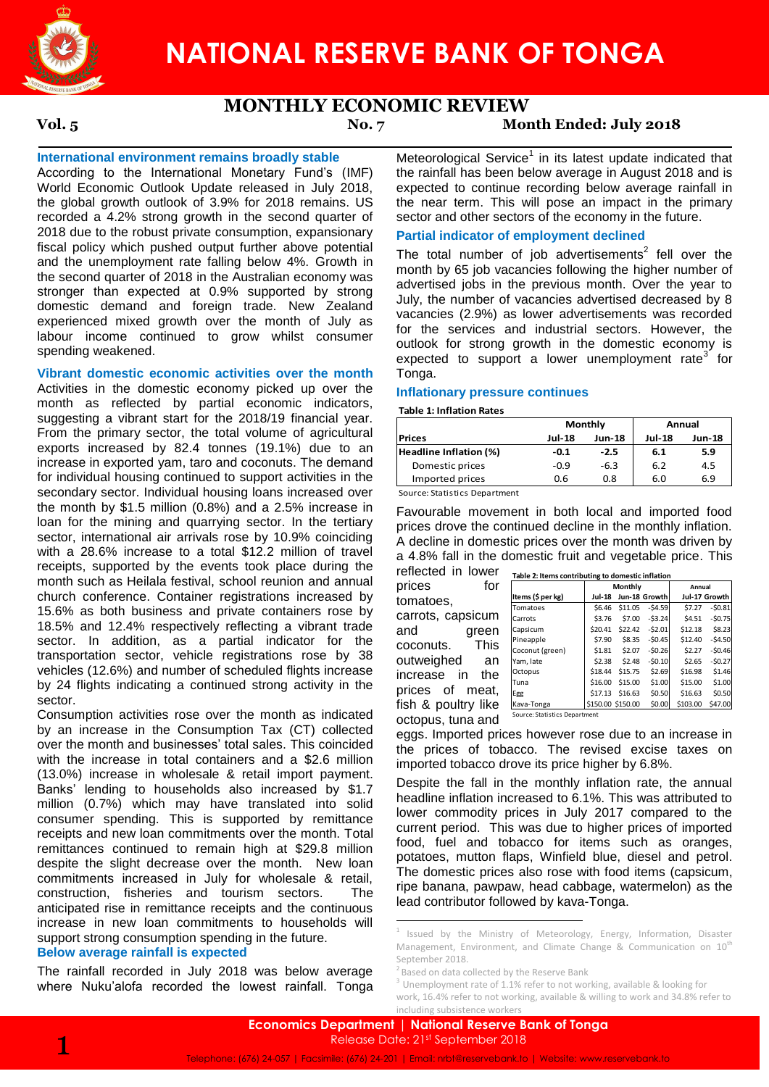

# **MONTHLY ECONOMIC REVIEW**

# **Vol. 5 No. 7 Month Ended: July 2018**

# **International environment remains broadly stable**

According to the International Monetary Fund's (IMF) World Economic Outlook Update released in July 2018, the global growth outlook of 3.9% for 2018 remains. US recorded a 4.2% strong growth in the second quarter of 2018 due to the robust private consumption, expansionary fiscal policy which pushed output further above potential and the unemployment rate falling below 4%. Growth in the second quarter of 2018 in the Australian economy was stronger than expected at 0.9% supported by strong domestic demand and foreign trade. New Zealand experienced mixed growth over the month of July as labour income continued to grow whilst consumer spending weakened.

# **Vibrant domestic economic activities over the month**

Activities in the domestic economy picked up over the month as reflected by partial economic indicators, suggesting a vibrant start for the 2018/19 financial year. From the primary sector, the total volume of agricultural exports increased by 82.4 tonnes (19.1%) due to an increase in exported yam, taro and coconuts. The demand for individual housing continued to support activities in the secondary sector. Individual housing loans increased over the month by \$1.5 million (0.8%) and a 2.5% increase in loan for the mining and quarrying sector. In the tertiary sector, international air arrivals rose by 10.9% coinciding with a 28.6% increase to a total \$12.2 million of travel receipts, supported by the events took place during the month such as Heilala festival, school reunion and annual church conference. Container registrations increased by 15.6% as both business and private containers rose by 18.5% and 12.4% respectively reflecting a vibrant trade sector. In addition, as a partial indicator for the transportation sector, vehicle registrations rose by 38 vehicles (12.6%) and number of scheduled flights increase by 24 flights indicating a continued strong activity in the sector.

Consumption activities rose over the month as indicated by an increase in the Consumption Tax (CT) collected over the month and businesses' total sales. This coincided with the increase in total containers and a \$2.6 million (13.0%) increase in wholesale & retail import payment. Banks' lending to households also increased by \$1.7 million (0.7%) which may have translated into solid consumer spending. This is supported by remittance receipts and new loan commitments over the month. Total remittances continued to remain high at \$29.8 million despite the slight decrease over the month. New loan commitments increased in July for wholesale & retail, construction, fisheries and tourism sectors. The anticipated rise in remittance receipts and the continuous increase in new loan commitments to households will support strong consumption spending in the future.

### **Below average rainfall is expected**

The rainfall recorded in July 2018 was below average where Nuku'alofa recorded the lowest rainfall. Tonga

Meteorological Service<sup>1</sup> in its latest update indicated that the rainfall has been below average in August 2018 and is expected to continue recording below average rainfall in the near term. This will pose an impact in the primary sector and other sectors of the economy in the future.

## **Partial indicator of employment declined**

The total number of job advertisements<sup>2</sup> fell over the month by 65 job vacancies following the higher number of advertised jobs in the previous month. Over the year to July, the number of vacancies advertised decreased by 8 vacancies (2.9%) as lower advertisements was recorded for the services and industrial sectors. However, the outlook for strong growth in the domestic economy is expected to support a lower unemployment rate<sup>3</sup> for Tonga.

#### **Inflationary pressure continues**

#### **Table 1: Inflation Rates**

|                        |        | Monthly | Annual                  |     |  |
|------------------------|--------|---------|-------------------------|-----|--|
| Prices                 | Jul-18 | Jun-18  | <b>Jul-18</b><br>Jun-18 |     |  |
| Headline Inflation (%) | -0.1   | $-2.5$  | 6.1                     | 5.9 |  |
| Domestic prices        | $-0.9$ | $-6.3$  | 6.2                     | 4.5 |  |
| Imported prices        | 0.6    | 0.8     | 6.0                     | 6.9 |  |
| _ _ _ _                |        |         |                         |     |  |

Source: Statistics Department

Favourable movement in both local and imported food prices drove the continued decline in the monthly inflation. A decline in domestic prices over the month was driven by a 4.8% fall in the domestic fruit and vegetable price. This

reflected in lower prices for tomatoes, carrots, capsicum and green coconuts. This outweighed an increase in the prices of meat, fish & poultry like octopus, tuna and

|                   |                    | Monthly           |               | Annual   |               |
|-------------------|--------------------|-------------------|---------------|----------|---------------|
| Items (\$ per kg) | Jul-18             |                   | Jun-18 Growth |          | Jul-17 Growth |
| Tomatoes          | S <sub>6</sub> .46 | \$11.05           | $-54.59$      | \$7.27   | $-50.81$      |
| Carrots           | \$3.76             | \$7.00            | $-53.24$      | \$4.51   | $-50.75$      |
| Capsicum          | \$20.41            | \$22.42           | $-52.01$      | \$12.18  | \$8.23        |
| Pineapple         | \$7.90             | \$8.35            | $-50.45$      | \$12.40  | $-54.50$      |
| Coconut (green)   | \$1.81             | \$2.07            | $-50.26$      | \$2.27   | $-50.46$      |
| Yam, late         | \$2.38             | \$2.48            | $-50.10$      | \$2.65   | $-50.27$      |
| Octopus           | \$18.44            | \$15.75           | \$2.69        | \$16.98  | \$1.46        |
| Tuna              | \$16.00            | \$15.00           | \$1.00        | \$15.00  | \$1.00        |
| Egg               | \$17.13            | \$16.63           | \$0.50        | \$16.63  | \$0.50        |
| Kava-Tonga        |                    | \$150.00 \$150.00 | \$0.00        | \$103.00 | \$47.00       |

eggs. Imported prices however rose due to an increase in the prices of tobacco. The revised excise taxes on imported tobacco drove its price higher by 6.8%.

Despite the fall in the monthly inflation rate, the annual headline inflation increased to 6.1%. This was attributed to lower commodity prices in July 2017 compared to the current period. This was due to higher prices of imported food, fuel and tobacco for items such as oranges, potatoes, mutton flaps, Winfield blue, diesel and petrol. The domestic prices also rose with food items (capsicum, ripe banana, pawpaw, head cabbage, watermelon) as the lead contributor followed by kava-Tonga.



 1 Issued by the Ministry of Meteorology, Energy, Information, Disaster Management, Environment, and Climate Change & Communication on  $10<sup>th</sup>$ September 2018.

<sup>&</sup>lt;sup>2</sup> Based on data collected by the Reserve Bank

 $3$  Unemployment rate of 1.1% refer to not working, available & looking for

work, 16.4% refer to not working, available & willing to work and 34.8% refer to including subsistence workers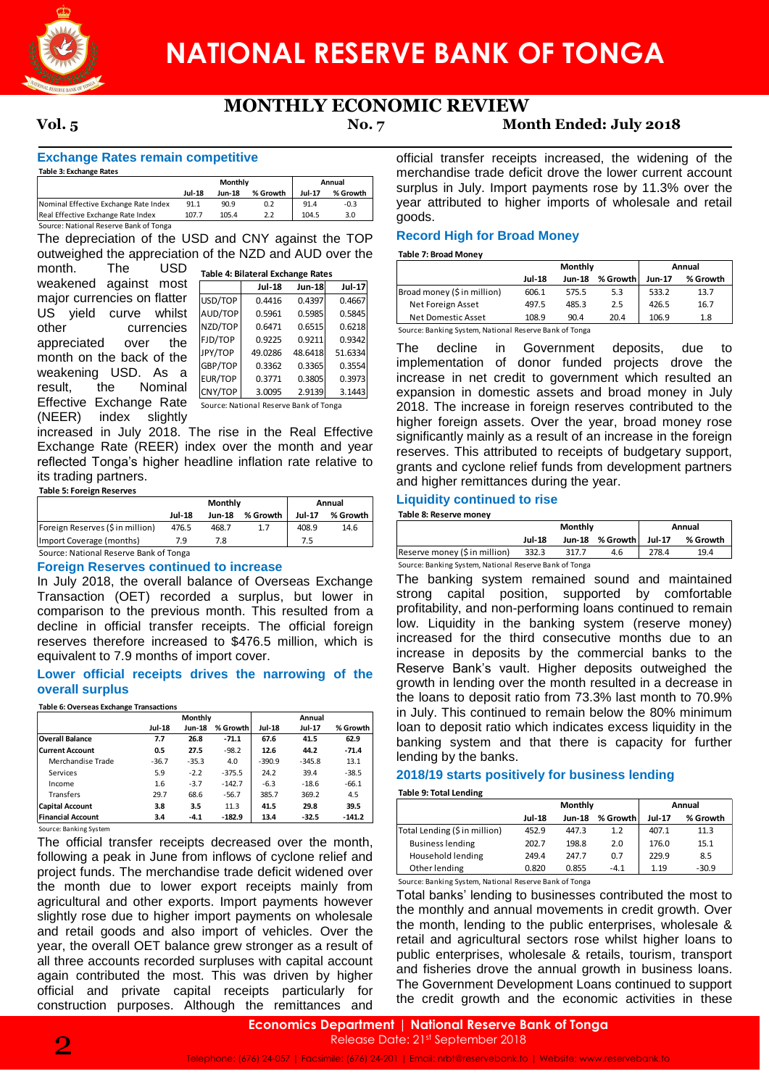

# **MONTHLY ECONOMIC REVIEW**

# **Vol. 5 No. 7 Month Ended: July 2018**

**Exchange Rates remain competitive**

| Table 3: Exchange Rates                |               |                |          |        |          |
|----------------------------------------|---------------|----------------|----------|--------|----------|
|                                        |               | <b>Monthly</b> | Annual   |        |          |
|                                        | <b>Jul-18</b> | <b>Jun-18</b>  | % Growth | Jul-17 | % Growth |
| Nominal Effective Exchange Rate Index  | 91.1          | 90.9           | 0.2      | 91.4   | $-0.3$   |
| Real Effective Exchange Rate Index     | 107.7         | 105.4          | 2.2      | 104.5  | 3.0      |
| Source: National Reserve Bank of Tonga |               |                |          |        |          |

The depreciation of the USD and CNY against the TOP outweighed the appreciation of the NZD and AUD over the month. The USD

weakened against most major currencies on flatter US yield curve whilst other currencies appreciated over the month on the back of the weakening USD. As a result, the Nominal Effective Exchange Rate (NEER) index slightly

|                  | ion of the NZD and AUD over the        |               |               |               | <b>Table 7: Broad Money</b>                         |
|------------------|----------------------------------------|---------------|---------------|---------------|-----------------------------------------------------|
| J                | Table 4: Bilateral Exchange Rates      |               |               |               |                                                     |
| ;t               |                                        | <b>Jul-18</b> | <b>Jun-18</b> | <b>Jul-17</b> | Broad money (\$ in mill                             |
| ۱ľ.              | USD/TOP                                | 0.4416        | 0.4397        | 0.4667        | Net Foreign Asset                                   |
| ;t               | AUD/TOP                                | 0.5961        | 0.5985        | 0.5845        | Net Domestic Asset                                  |
| S                | NZD/TOP                                | 0.6471        | 0.6515        | 0.6218        | Source: Banking System, I                           |
| e                | FJD/TOP                                | 0.9225        | 0.9211        | 0.9342        | The                                                 |
| e                | JPY/TOP                                | 49.0286       | 48.6418       | 51.6334       | decline                                             |
| a                | GBP/TOP                                | 0.3362        | 0.3365        | 0.3554        | implementation                                      |
| al               | EUR/TOP                                | 0.3771        | 0.3805        | 0.3973        | increase in net                                     |
|                  | CNY/TOP                                | 3.0095        | 2.9139        | 3.1443        | expansion in d                                      |
| e                | Source: National Reserve Bank of Tonga |               |               |               | 2018. The incre                                     |
| y                |                                        |               |               |               | higher foreign                                      |
|                  | The rise in the Real Effective         |               |               |               | significantly ma                                    |
|                  | index over the month and year          |               |               |               | reserves. This                                      |
|                  | headline inflation rate relative to    |               |               |               | grants and cycl                                     |
|                  |                                        |               |               |               | and higher remi                                     |
|                  |                                        |               |               |               |                                                     |
|                  | <b>Monthly</b>                         |               |               | Annual        | <b>Liquidity conti</b>                              |
| -18              | <b>Jun-18</b>                          | % Growth      | <b>Jul-17</b> | % Growth      | Table 8: Reserve mone                               |
| $\overline{5.5}$ | 468.7                                  | 1.7           | 408.9         | 14.6          |                                                     |
| 9                | 7.8                                    |               | 7.5           |               |                                                     |
| ga               |                                        |               |               |               | Reserve money (\$ in m<br>Source: Banking System, I |
|                  | nued to increase                       |               |               |               |                                                     |
|                  | balance of Overseas Exchange           |               |               |               | The banking s                                       |
|                  | orded a surplus, but lower in          |               |               |               | strong capital                                      |
|                  | ous month. This resulted from a        |               |               |               | profitability, and                                  |
|                  | er receipts. The official foreign      |               |               |               | low. Liquidity                                      |
|                  | ased to \$476.5 million, which is      |               |               |               | increased for                                       |
|                  | of import cover.                       |               |               |               | increase in de                                      |
|                  |                                        |               |               |               | Reserve Bank'                                       |
|                  | drives the narrowing of the            |               |               |               | growth in lendir                                    |
|                  |                                        |               |               |               | the loans to de                                     |
|                  |                                        |               |               |               | in July. This co                                    |
| Monthly          |                                        |               | Annual        |               |                                                     |

Reserve Bank of Tonga

increased in July 2018. The rise in the Real Effective Exchange Rate (REER) index over the month and year reflected Tonga's higher headline inflation rate relative to its trading partners.

# **Table 5: Foreign Reserves**

|                                        |               | Monthly | Annual   |        |          |  |  |
|----------------------------------------|---------------|---------|----------|--------|----------|--|--|
|                                        | <b>Jul-18</b> | Jun-18  | % Growth | Jul-17 | % Growth |  |  |
| Foreign Reserves (\$ in million)       | 476.5         | 468.7   | 1.7      | 408.9  | 14.6     |  |  |
| Import Coverage (months)               | 7 9           |         |          | 7.5    |          |  |  |
| Source: National Reserve Bank of Tonga |               |         |          |        |          |  |  |

Source: National Reserve Bank of Tonga

# **Foreign Reserves continued to increase**

In July 2018, the overall balance of Overseas Exchange Transaction (OET) recorded a surplus, but lower in comparison to the previous month. This resulted from a decline in official transfer receipts. The official foreign reserves therefore increased to \$476.5 million, which is equivalent to 7.9 months of import cover.

#### **Lower official receipts drives the narrowing of the overall surplus**

#### **Table 6: Overseas Exchange Transactions**

|                          |         | Monthly |          |               | Annual   |          |  |  |
|--------------------------|---------|---------|----------|---------------|----------|----------|--|--|
|                          | Jul-18  | Jun-18  | % Growth | <b>Jul-18</b> | Jul-17   | % Growth |  |  |
| <b>Overall Balance</b>   | 7.7     | 26.8    | $-71.1$  | 67.6          | 41.5     | 62.9     |  |  |
| <b>Current Account</b>   | 0.5     | 27.5    | $-98.2$  | 12.6          | 44.2     | $-71.4$  |  |  |
| Merchandise Trade        | $-36.7$ | $-35.3$ | 4.0      | $-390.9$      | $-345.8$ | 13.1     |  |  |
| Services                 | 5.9     | $-2.2$  | $-375.5$ | 24.2          | 39.4     | $-38.5$  |  |  |
| Income                   | 1.6     | $-3.7$  | $-142.7$ | $-6.3$        | $-18.6$  | $-66.1$  |  |  |
| Transfers                | 29.7    | 68.6    | $-56.7$  | 385.7         | 369.2    | 4.5      |  |  |
| <b>Capital Account</b>   | 3.8     | 3.5     | 11.3     | 41.5          | 29.8     | 39.5     |  |  |
| <b>Financial Account</b> | 3.4     | $-4.1$  | $-182.9$ | 13.4          | $-32.5$  | $-141.2$ |  |  |

Source: Banking System

The official transfer receipts decreased over the month, following a peak in June from inflows of cyclone relief and project funds. The merchandise trade deficit widened over the month due to lower export receipts mainly from agricultural and other exports. Import payments however slightly rose due to higher import payments on wholesale and retail goods and also import of vehicles. Over the year, the overall OET balance grew stronger as a result of all three accounts recorded surpluses with capital account again contributed the most. This was driven by higher official and private capital receipts particularly for construction purposes. Although the remittances and

official transfer receipts increased, the widening of the merchandise trade deficit drove the lower current account surplus in July. Import payments rose by 11.3% over the year attributed to higher imports of wholesale and retail goods.

# **Record High for Broad Money**

|                                                        |               | Monthly       | Annual        |          |      |  |  |  |
|--------------------------------------------------------|---------------|---------------|---------------|----------|------|--|--|--|
|                                                        | <b>Jul-18</b> | <b>Jun-18</b> | <b>Jun-17</b> | % Growth |      |  |  |  |
| Broad money (\$ in million)                            | 606.1         | 575.5         | 5.3           | 533.2    | 13.7 |  |  |  |
| Net Foreign Asset                                      | 497.5         | 485.3         | 2.5           | 426.5    | 16.7 |  |  |  |
| Net Domestic Asset                                     | 108.9         | 90.4          | 20.4          | 106.9    | 1.8  |  |  |  |
| Source: Banking System, National Reserve Bank of Tonga |               |               |               |          |      |  |  |  |

The decline in Government deposits, due to implementation of donor funded projects drove the increase in net credit to government which resulted an expansion in domestic assets and broad money in July 2018. The increase in foreign reserves contributed to the higher foreign assets. Over the year, broad money rose significantly mainly as a result of an increase in the foreign reserves. This attributed to receipts of budgetary support, grants and cyclone relief funds from development partners and higher remittances during the year.

### **Liquidity continued to rise**

**Table 8: Reserve money**

|                                                        |               | <b>Monthly</b> |                    | Annual   |      |  |  |  |
|--------------------------------------------------------|---------------|----------------|--------------------|----------|------|--|--|--|
|                                                        | <b>Jul-18</b> | Jun-18         | Jul-17<br>% Growth | % Growth |      |  |  |  |
| Reserve money (\$ in million)                          | 332.3         | 317.7          | 4.6                | 278.4    | 19.4 |  |  |  |
| Source: Banking System, National Reserve Bank of Tonga |               |                |                    |          |      |  |  |  |

The banking system remained sound and maintained strong capital position, supported by comfortable profitability, and non-performing loans continued to remain low. Liquidity in the banking system (reserve money) increased for the third consecutive months due to an increase in deposits by the commercial banks to the Reserve Bank's vault. Higher deposits outweighed the growth in lending over the month resulted in a decrease in the loans to deposit ratio from 73.3% last month to 70.9% in July. This continued to remain below the 80% minimum loan to deposit ratio which indicates excess liquidity in the banking system and that there is capacity for further lending by the banks. The credit credit credit credit credit credit credit credit credit credit credit credit credit credit credit credit credit credit credit credit credit credit credit credit credit credit credit credit credit credit credit

### **2018/19 starts positively for business lending**

**Table 9: Total Lending**

|                               |               | Monthly       | Annual        |          |         |
|-------------------------------|---------------|---------------|---------------|----------|---------|
|                               | <b>Jul-18</b> | <b>Jun-18</b> | <b>Jul-17</b> | % Growth |         |
| Total Lending (\$ in million) | 452.9         | 447.3         | 1.2           | 407.1    | 11.3    |
| <b>Business lending</b>       | 202.7         | 198.8         | 2.0           | 176.0    | 15.1    |
| Household lending             | 249.4         | 247.7         | 0.7           | 229.9    | 8.5     |
| Other lending                 | 0.820         | 0.855         | $-4.1$        | 1.19     | $-30.9$ |

Source: Banking System, National Reserve Bank of Tonga

Total banks' lending to businesses contributed the most to the monthly and annual movements in credit growth. Over the month, lending to the public enterprises, wholesale & retail and agricultural sectors rose whilst higher loans to public enterprises, wholesale & retails, tourism, transport and fisheries drove the annual growth in business loans. The Government Development Loans continued to support

**Economics Department** | **National Reserve Bank of Tonga** Release Date: 21st September 2018